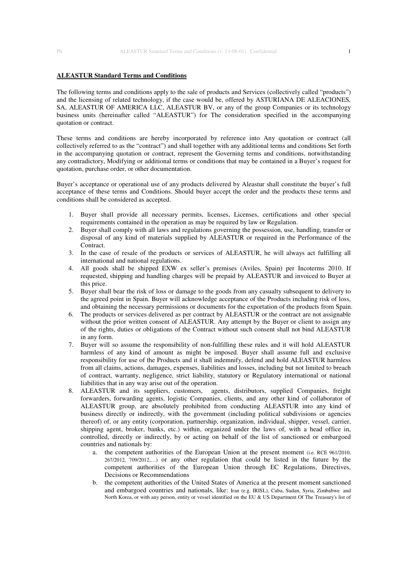## **ALEASTUR Standard Terms and Conditions**

The following terms and conditions apply to the sale of products and Services (collectively called "products") and the licensing of related technology, if the case would be, offered by ASTURIANA DE ALEACIONES, SA, ALEASTUR OF AMERICA LLC, ALEASTUR BV, or any of the group Companies or its technology business units (hereinafter called "ALEASTUR") for The consideration specified in the accompanying quotation or contract.

These terms and conditions are hereby incorporated by reference into Any quotation or contract (all collectively referred to as the "contract") and shall together with any additional terms and conditions Set forth in the accompanying quotation or contract, represent the Governing terms and conditions, notwithstanding any contradictory, Modifying or additional terms or conditions that may be contained in a Buyer's request for quotation, purchase order, or other documentation.

Buyer's acceptance or operational use of any products delivered by Aleastur shall constitute the buyer's full acceptance of these terms and Conditions. Should buyer accept the order and the products these terms and conditions shall be considered as accepted.

- 1. Buyer shall provide all necessary permits, licenses, Licenses, certifications and other special requirements contained in the operation as may be required by law or Regulation.
- 2. Buyer shall comply with all laws and regulations governing the possession, use, handling, transfer or disposal of any kind of materials supplied by ALEASTUR or required in the Performance of the Contract.
- 3. In the case of resale of the products or services of ALEASTUR, he will always act fulfilling all international and national regulations.
- 4. All goods shall be shipped EXW ex seller's premises (Aviles, Spain) per Incoterms 2010. If requested, shipping and handling charges will be prepaid by ALEASTUR and invoiced to Buyer at this price.
- 5. Buyer shall bear the risk of loss or damage to the goods from any casualty subsequent to delivery to the agreed point in Spain. Buyer will acknowledge acceptance of the Products including risk of loss, and obtaining the necessary permissions or documents for the exportation of the products from Spain.
- 6. The products or services delivered as per contract by ALEASTUR or the contract are not assignable without the prior written consent of ALEASTUR. Any attempt by the Buyer or client to assign any of the rights, duties or obligations of the Contract without such consent shall not bind ALEASTUR in any form.
- 7. Buyer will so assume the responsibility of non-fulfilling these rules and it will hold ALEASTUR harmless of any kind of amount as might be imposed. Buyer shall assume full and exclusive responsibility for use of the Products and it shall indemnify, defend and hold ALEASTUR harmless from all claims, actions, damages, expenses, liabilities and losses, including but not limited to breach of contract, warranty, negligence, strict liability, statutory or Regulatory international or national liabilities that in any way arise out of the operation.
- 8. ALEASTUR and its suppliers, customers, agents, distributors, supplied Companies, freight forwarders, forwarding agents, logistic Companies, clients, and any other kind of collaborator of ALEASTUR group, are absolutely prohibited from conducting ALEASTUR into any kind of business directly or indirectly, with the government (including political subdivisions or agencies thereof) of, or any entity (corporation, partnership, organization, individual, shipper, vessel, carrier, shipping agent, broker, banks, etc.) within, organized under the laws of, with a head office in, controlled, directly or indirectly, by or acting on behalf of the list of sanctioned or embargoed countries and nationals by:
	- a. the competent authorities of the European Union at the present moment (i.e. RCE 961/2010, 267/2012, 709/2012,…) or any other regulation that could be listed in the future by the competent authorities of the European Union through EC Regulations, Directives, Decisions or Recommendations
	- b. the competent authorities of the United States of America at the present moment sanctioned and embargoed countries and nationals, like: Iran (e.g. IRISL), Cuba, Sudan, Syria, Zimbabwe and North Korea, or with any person, entity or vessel identified on the EU & US Department Of The Treasury's list of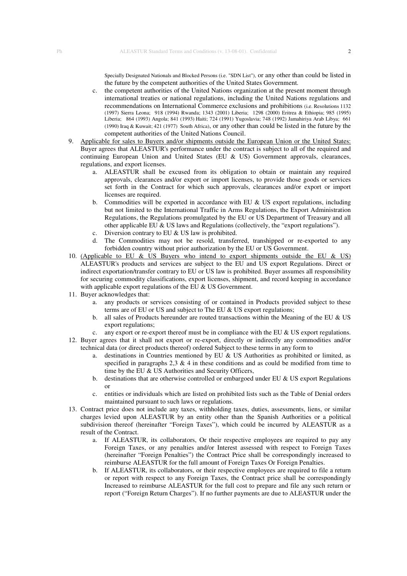Specially Designated Nationals and Blocked Persons (i.e. "SDN List"), or any other than could be listed in the future by the competent authorities of the United States Government.

- c. the competent authorities of the United Nations organization at the present moment through international treaties or national regulations, including the United Nations regulations and recommendations on International Commerce exclusions and prohibitions (i.e. Resolutions 1132 (1997) Sierra Leona; 918 (1994) Rwanda; 1343 (2001) Liberia; 1298 (2000) Eritrea & Ethiopia; 985 (1995) Liberia; 864 (1993) Angola; 841 (1993) Haiti; 724 (1991) Yugoslavia; 748 (1992) Jamahiriya Arab Libya; 661 (1990) Iraq & Kuwait; 421 (1977) South Africa), or any other than could be listed in the future by the competent authorities of the United Nations Council.
- 9. Applicable for sales to Buyers and/or shipments outside the European Union or the United States: Buyer agrees that ALEASTUR's performance under the contract is subject to all of the required and continuing European Union and United States (EU  $&$  US) Government approvals, clearances, regulations, and export licenses.
	- a. ALEASTUR shall be excused from its obligation to obtain or maintain any required approvals, clearances and/or export or import licenses, to provide those goods or services set forth in the Contract for which such approvals, clearances and/or export or import licenses are required.
	- b. Commodities will be exported in accordance with EU  $\&$  US export regulations, including but not limited to the International Traffic in Arms Regulations, the Export Administration Regulations, the Regulations promulgated by the EU or US Department of Treasury and all other applicable EU & US laws and Regulations (collectively, the "export regulations").
	- c. Diversion contrary to EU & US law is prohibited.
	- d. The Commodities may not be resold, transferred, transhipped or re-exported to any forbidden country without prior authorization by the EU or US Government.
- 10. (Applicable to EU & US Buyers who intend to export shipments outside the EU & US) ALEASTUR's products and services are subject to the EU and US export Regulations. Direct or indirect exportation/transfer contrary to EU or US law is prohibited. Buyer assumes all responsibility for securing commodity classifications, export licenses, shipment, and record keeping in accordance with applicable export regulations of the EU & US Government.
- 11. Buyer acknowledges that:
	- a. any products or services consisting of or contained in Products provided subject to these terms are of EU or US and subject to The EU & US export regulations;
	- b. all sales of Products hereunder are routed transactions within the Meaning of the EU & US export regulations;
- c. any export or re-export thereof must be in compliance with the EU & US export regulations. 12. Buyer agrees that it shall not export or re-export, directly or indirectly any commodities and/or technical data (or direct products thereof) ordered Subject to these terms in any form to
	- a. destinations in Countries mentioned by EU  $&$  US Authorities as prohibited or limited, as specified in paragraphs 2,3  $\&$  4 in these conditions and as could be modified from time to time by the EU & US Authorities and Security Officers,
	- b. destinations that are otherwise controlled or embargoed under EU & US export Regulations or
	- c. entities or individuals which are listed on prohibited lists such as the Table of Denial orders maintained pursuant to such laws or regulations.
- 13. Contract price does not include any taxes, withholding taxes, duties, assessments, liens, or similar charges levied upon ALEASTUR by an entity other than the Spanish Authorities or a political subdivision thereof (hereinafter "Foreign Taxes"), which could be incurred by ALEASTUR as a result of the Contract.
	- a. If ALEASTUR, its collaborators, Or their respective employees are required to pay any Foreign Taxes, or any penalties and/or Interest assessed with respect to Foreign Taxes (hereinafter "Foreign Penalties") the Contract Price shall be correspondingly increased to reimburse ALEASTUR for the full amount of Foreign Taxes Or Foreign Penalties.
	- b. If ALEASTUR, its collaborators, or their respective employees are required to file a return or report with respect to any Foreign Taxes, the Contract price shall be correspondingly Increased to reimburse ALEASTUR for the full cost to prepare and file any such return or report ("Foreign Return Charges"). If no further payments are due to ALEASTUR under the